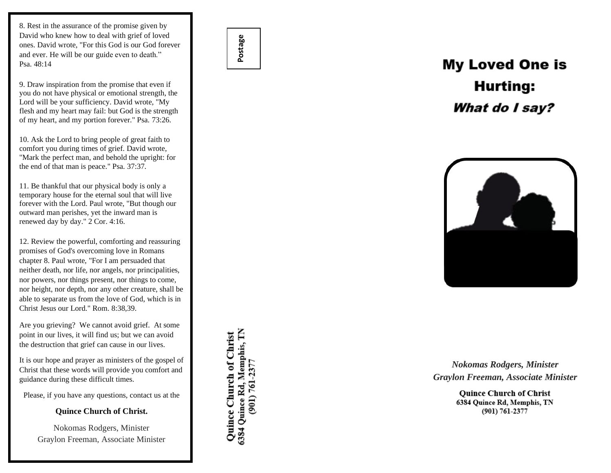8. Rest in the assurance of the promise given by David who knew how to deal with grief of loved ones. David wrote, "For this God is our God forever and ever. He will be our guide even to death." Psa. 48:14

9. Draw inspiration from the promise that even if you do not have physical or emotional strength, the Lord will be your sufficiency. David wrote, "My flesh and my heart may fail: but God is the strength of my heart, and my portion forever." Psa. 73:26.

10. Ask the Lord to bring people of great faith to comfort you during times of grief. David wrote, "Mark the perfect man, and behold the upright: for the end of that man is peace." Psa. 37:37.

11. Be thankful that our physical body is only a temporary house for the eternal soul that will live forever with the Lord. Paul wrote, "But though our outward man perishes, yet the inward man is renewed day by day." 2 Cor. 4:16.

12. Review the powerful, comforting and reassuring promises of God's overcoming love in Romans chapter 8. Paul wrote, "For I am persuaded that neither death, nor life, nor angels, nor principalities, nor powers, nor things present, nor things to come, nor height, nor depth, nor any other creature, shall be able to separate us from the love of God, which is in Christ Jesus our Lord." Rom. 8:38,39.

Are you grieving? We cannot avoid grief. At some point in our lives, it will find us; but we can avoid the destruction that grief can cause in our lives.

It is our hope and prayer as ministers of the gospel of Christ that these words will provide you comfort and guidance during these difficult times.

Please, if you have any questions, contact us at the

**Quince Church of Christ.**

Nokomas Rodgers, Minister Graylon Freeman, Associate Minister Quince Church of Christ<br>6384 Quince Rd, Memphis, TN  $(901) 761 - 2377$ 

**Postage**

## **My Loved One is Hurting:** What do I say?



*Nokomas Rodgers, Minister Graylon Freeman, Associate Minister*

> **Ouince Church of Christ** 6384 Quince Rd, Memphis, TN  $(901) 761 - 2377$